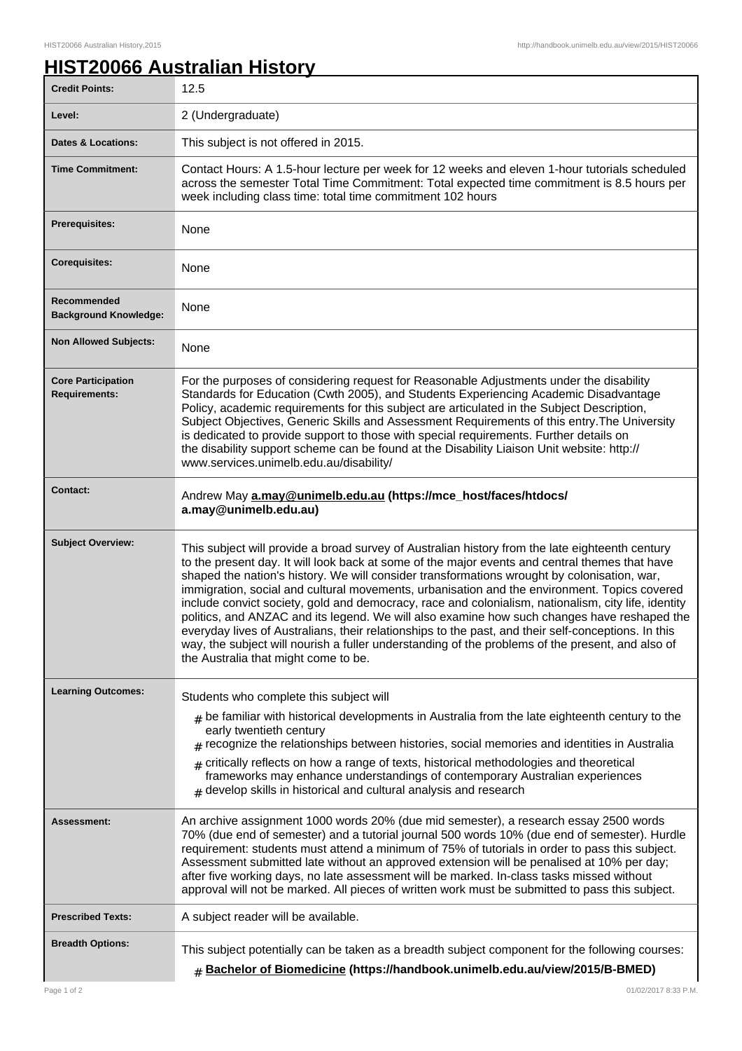## **HIST20066 Australian History**

| <b>Credit Points:</b>                             | 12.5                                                                                                                                                                                                                                                                                                                                                                                                                                                                                                                                                                                                                                                                                                                                                                                                                                                      |
|---------------------------------------------------|-----------------------------------------------------------------------------------------------------------------------------------------------------------------------------------------------------------------------------------------------------------------------------------------------------------------------------------------------------------------------------------------------------------------------------------------------------------------------------------------------------------------------------------------------------------------------------------------------------------------------------------------------------------------------------------------------------------------------------------------------------------------------------------------------------------------------------------------------------------|
| Level:                                            | 2 (Undergraduate)                                                                                                                                                                                                                                                                                                                                                                                                                                                                                                                                                                                                                                                                                                                                                                                                                                         |
| <b>Dates &amp; Locations:</b>                     | This subject is not offered in 2015.                                                                                                                                                                                                                                                                                                                                                                                                                                                                                                                                                                                                                                                                                                                                                                                                                      |
| <b>Time Commitment:</b>                           | Contact Hours: A 1.5-hour lecture per week for 12 weeks and eleven 1-hour tutorials scheduled<br>across the semester Total Time Commitment: Total expected time commitment is 8.5 hours per<br>week including class time: total time commitment 102 hours                                                                                                                                                                                                                                                                                                                                                                                                                                                                                                                                                                                                 |
| <b>Prerequisites:</b>                             | None                                                                                                                                                                                                                                                                                                                                                                                                                                                                                                                                                                                                                                                                                                                                                                                                                                                      |
| <b>Corequisites:</b>                              | None                                                                                                                                                                                                                                                                                                                                                                                                                                                                                                                                                                                                                                                                                                                                                                                                                                                      |
| Recommended<br><b>Background Knowledge:</b>       | None                                                                                                                                                                                                                                                                                                                                                                                                                                                                                                                                                                                                                                                                                                                                                                                                                                                      |
| <b>Non Allowed Subjects:</b>                      | None                                                                                                                                                                                                                                                                                                                                                                                                                                                                                                                                                                                                                                                                                                                                                                                                                                                      |
| <b>Core Participation</b><br><b>Requirements:</b> | For the purposes of considering request for Reasonable Adjustments under the disability<br>Standards for Education (Cwth 2005), and Students Experiencing Academic Disadvantage<br>Policy, academic requirements for this subject are articulated in the Subject Description,<br>Subject Objectives, Generic Skills and Assessment Requirements of this entry. The University<br>is dedicated to provide support to those with special requirements. Further details on<br>the disability support scheme can be found at the Disability Liaison Unit website: http://<br>www.services.unimelb.edu.au/disability/                                                                                                                                                                                                                                          |
| <b>Contact:</b>                                   | Andrew May a.may@unimelb.edu.au (https://mce_host/faces/htdocs/<br>a.may@unimelb.edu.au)                                                                                                                                                                                                                                                                                                                                                                                                                                                                                                                                                                                                                                                                                                                                                                  |
| <b>Subject Overview:</b>                          | This subject will provide a broad survey of Australian history from the late eighteenth century<br>to the present day. It will look back at some of the major events and central themes that have<br>shaped the nation's history. We will consider transformations wrought by colonisation, war,<br>immigration, social and cultural movements, urbanisation and the environment. Topics covered<br>include convict society, gold and democracy, race and colonialism, nationalism, city life, identity<br>politics, and ANZAC and its legend. We will also examine how such changes have reshaped the<br>everyday lives of Australians, their relationships to the past, and their self-conceptions. In this<br>way, the subject will nourish a fuller understanding of the problems of the present, and also of<br>the Australia that might come to be. |
| <b>Learning Outcomes:</b>                         | Students who complete this subject will                                                                                                                                                                                                                                                                                                                                                                                                                                                                                                                                                                                                                                                                                                                                                                                                                   |
|                                                   | $_{\text{\#}}$ be familiar with historical developments in Australia from the late eighteenth century to the<br>early twentieth century<br>$_{\#}$ recognize the relationships between histories, social memories and identities in Australia<br>$_{\text{\#}}$ critically reflects on how a range of texts, historical methodologies and theoretical<br>frameworks may enhance understandings of contemporary Australian experiences<br>$#$ develop skills in historical and cultural analysis and research                                                                                                                                                                                                                                                                                                                                              |
| <b>Assessment:</b>                                | An archive assignment 1000 words 20% (due mid semester), a research essay 2500 words<br>70% (due end of semester) and a tutorial journal 500 words 10% (due end of semester). Hurdle<br>requirement: students must attend a minimum of 75% of tutorials in order to pass this subject.<br>Assessment submitted late without an approved extension will be penalised at 10% per day;<br>after five working days, no late assessment will be marked. In-class tasks missed without<br>approval will not be marked. All pieces of written work must be submitted to pass this subject.                                                                                                                                                                                                                                                                       |
| <b>Prescribed Texts:</b>                          | A subject reader will be available.                                                                                                                                                                                                                                                                                                                                                                                                                                                                                                                                                                                                                                                                                                                                                                                                                       |
| <b>Breadth Options:</b>                           | This subject potentially can be taken as a breadth subject component for the following courses:<br><b># Bachelor of Biomedicine (https://handbook.unimelb.edu.au/view/2015/B-BMED)</b>                                                                                                                                                                                                                                                                                                                                                                                                                                                                                                                                                                                                                                                                    |